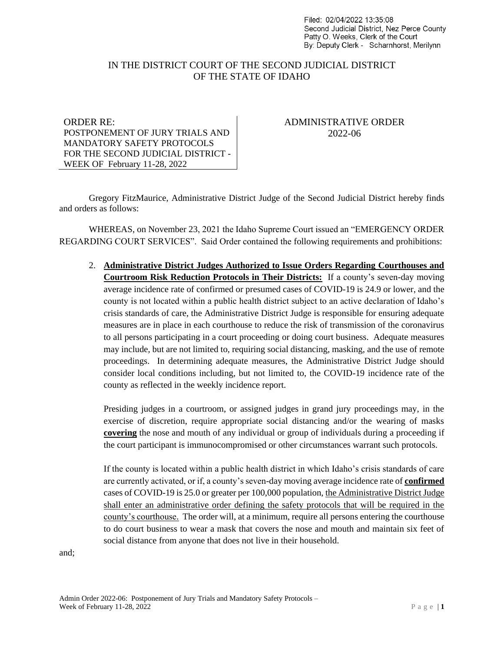Filed: 02/04/2022 13:35:08 Second Judicial District, Nez Perce County Patty O. Weeks, Clerk of the Court By: Deputy Clerk - Scharnhorst, Merilynn

## IN THE DISTRICT COURT OF THE SECOND JUDICIAL DISTRICT OF THE STATE OF IDAHO

### ORDER RE: POSTPONEMENT OF JURY TRIALS AND MANDATORY SAFETY PROTOCOLS FOR THE SECOND JUDICIAL DISTRICT - WEEK OF February 11-28, 2022

# ADMINISTRATIVE ORDER 2022-06

Gregory FitzMaurice, Administrative District Judge of the Second Judicial District hereby finds and orders as follows:

WHEREAS, on November 23, 2021 the Idaho Supreme Court issued an "EMERGENCY ORDER REGARDING COURT SERVICES". Said Order contained the following requirements and prohibitions:

2. **Administrative District Judges Authorized to Issue Orders Regarding Courthouses and Courtroom Risk Reduction Protocols in Their Districts:** If a county's seven-day moving average incidence rate of confirmed or presumed cases of COVID-19 is 24.9 or lower, and the county is not located within a public health district subject to an active declaration of Idaho's crisis standards of care, the Administrative District Judge is responsible for ensuring adequate measures are in place in each courthouse to reduce the risk of transmission of the coronavirus to all persons participating in a court proceeding or doing court business. Adequate measures may include, but are not limited to, requiring social distancing, masking, and the use of remote proceedings. In determining adequate measures, the Administrative District Judge should consider local conditions including, but not limited to, the COVID-19 incidence rate of the county as reflected in the weekly incidence report.

Presiding judges in a courtroom, or assigned judges in grand jury proceedings may, in the exercise of discretion, require appropriate social distancing and/or the wearing of masks **covering** the nose and mouth of any individual or group of individuals during a proceeding if the court participant is immunocompromised or other circumstances warrant such protocols.

If the county is located within a public health district in which Idaho's crisis standards of care are currently activated, or if, a county's seven-day moving average incidence rate of **confirmed** cases of COVID-19 is 25.0 or greater per 100,000 population, the Administrative District Judge shall enter an administrative order defining the safety protocols that will be required in the county's courthouse. The order will, at a minimum, require all persons entering the courthouse to do court business to wear a mask that covers the nose and mouth and maintain six feet of social distance from anyone that does not live in their household.

and;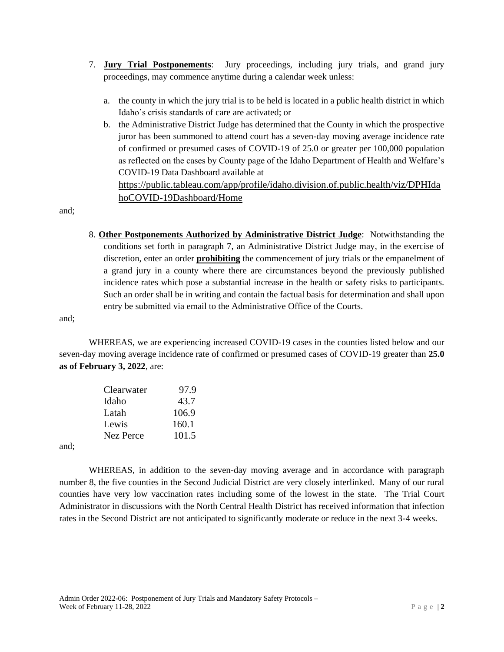- 7. **Jury Trial Postponements**: Jury proceedings, including jury trials, and grand jury proceedings, may commence anytime during a calendar week unless:
	- a. the county in which the jury trial is to be held is located in a public health district in which Idaho's crisis standards of care are activated; or
	- b. the Administrative District Judge has determined that the County in which the prospective juror has been summoned to attend court has a seven-day moving average incidence rate of confirmed or presumed cases of COVID-19 of 25.0 or greater per 100,000 population as reflected on the cases by County page of the Idaho Department of Health and Welfare's COVID-19 Data Dashboard available at

[https://public.tableau.com/app/profile/idaho.division.of.public.health/viz/DPHIda](https://public.tableau.com/app/profile/idaho.division.of.public.health/viz/DPHIdahoCOVID-19Dashboard/Home) [hoCOVID-19Dashboard/Home](https://public.tableau.com/app/profile/idaho.division.of.public.health/viz/DPHIdahoCOVID-19Dashboard/Home)

and;

8. **Other Postponements Authorized by Administrative District Judge**: Notwithstanding the conditions set forth in paragraph 7, an Administrative District Judge may, in the exercise of discretion, enter an order **prohibiting** the commencement of jury trials or the empanelment of a grand jury in a county where there are circumstances beyond the previously published incidence rates which pose a substantial increase in the health or safety risks to participants. Such an order shall be in writing and contain the factual basis for determination and shall upon entry be submitted via email to the Administrative Office of the Courts.

and;

WHEREAS, we are experiencing increased COVID-19 cases in the counties listed below and our seven-day moving average incidence rate of confirmed or presumed cases of COVID-19 greater than **25.0 as of February 3, 2022**, are:

| Clearwater | 97.9  |
|------------|-------|
| Idaho      | 43.7  |
| Latah      | 106.9 |
| Lewis      | 160.1 |
| Nez Perce  | 101.5 |
|            |       |

and;

WHEREAS, in addition to the seven-day moving average and in accordance with paragraph number 8, the five counties in the Second Judicial District are very closely interlinked. Many of our rural counties have very low vaccination rates including some of the lowest in the state. The Trial Court Administrator in discussions with the North Central Health District has received information that infection rates in the Second District are not anticipated to significantly moderate or reduce in the next 3-4 weeks.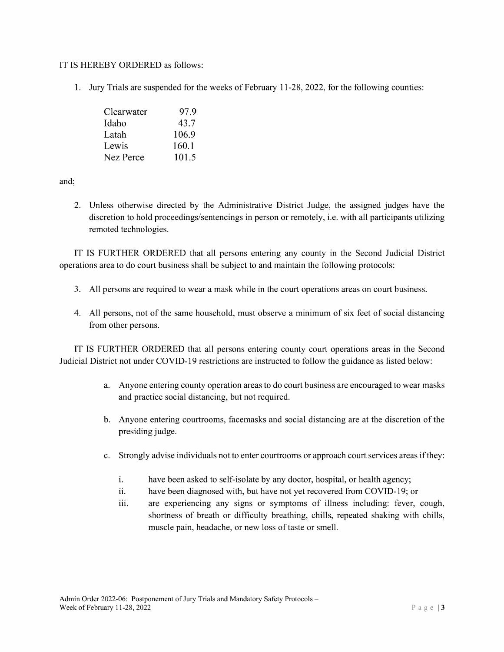### IT IS HEREBY ORDERED as follows:

1. Jury Trials are suspended for the weeks of February 11-28, 2022, for the following counties:

| Clearwater | 97.9  |
|------------|-------|
| Idaho      | 43.7  |
| Latah      | 106.9 |
| Lewis      | 160.1 |
| Nez Perce  | 101.5 |

and;

2. Unless otherwise directed by the Administrative District Judge, the assigned judges have the discretion to hold proceedings/sentencings in person or remotely, i.e. with all participants utilizing remoted technologies.

IT IS FURTHER ORDERED that all persons entering any county in the Second Judicial District operations area to do court business shall be subject to and maintain the following protocols:

- 3. All persons are required to wear a mask while in the court operations areas on court business.
- 4. All persons, not of the same household, must observe a minimum of six feet of social distancing from other persons.

IT IS FURTHER ORDERED that all persons entering county court operations areas in the Second Judicial District not under COVID-l9 restrictions are instructed to follow the guidance as listed below:

- a. Anyone entering county operation areas to do court business are encouraged to wear masks and practice social distancing, but not required.
- b. Anyone entering courtrooms, facemasks and social distancing are at the discretion of the presiding judge.
- c. Strongly advise individuals not to enter courtrooms or approach court services areas ifthey:
	- i. have been asked to self-isolate by any doctor, hospital, or health agency;
	- ii. have been diagnosed with, but have not yet recovered from COVID-19; or
	- iii. are experiencing any signs or symptoms of illness including: fever, cough, shortness of breath or difficulty breathing, chills, repeated shaking with chills, muscle pain, headache, or new loss of taste or smell.